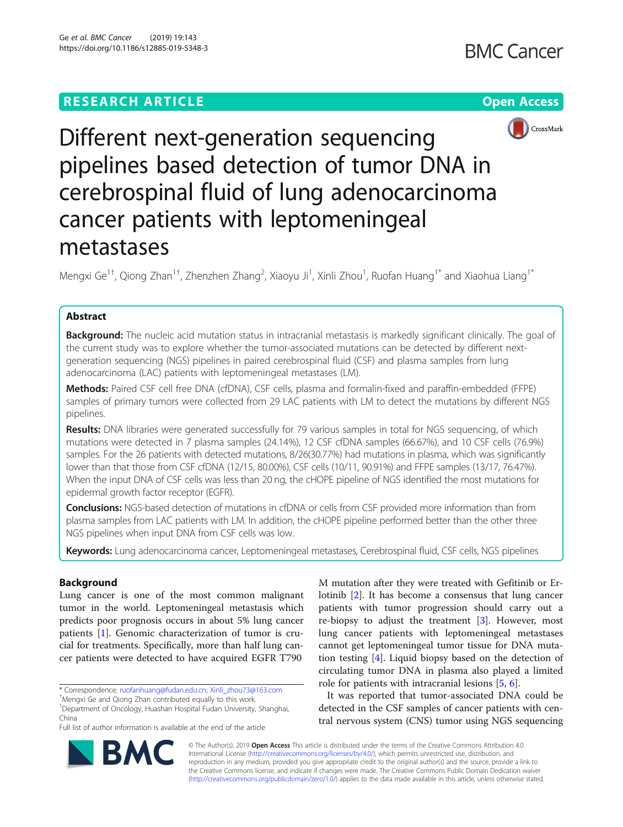# **RESEARCH ARTICLE Example 2014 12:30 The Contract of Contract ACCESS**





Different next-generation sequencing pipelines based detection of tumor DNA in cerebrospinal fluid of lung adenocarcinoma cancer patients with leptomeningeal metastases

Mengxi Ge $^{1\dagger}$ , Qiong Zhan $^{1\dagger}$ , Zhenzhen Zhang $^2$ , Xiaoyu Ji $^1$ , Xinli Zhou $^1$ , Ruofan Huang $^{1^\ast}$  and Xiaohua Liang $^{1^\ast}$ 

## Abstract

Background: The nucleic acid mutation status in intracranial metastasis is markedly significant clinically. The goal of the current study was to explore whether the tumor-associated mutations can be detected by different nextgeneration sequencing (NGS) pipelines in paired cerebrospinal fluid (CSF) and plasma samples from lung adenocarcinoma (LAC) patients with leptomeningeal metastases (LM).

Methods: Paired CSF cell free DNA (cfDNA), CSF cells, plasma and formalin-fixed and paraffin-embedded (FFPE) samples of primary tumors were collected from 29 LAC patients with LM to detect the mutations by different NGS pipelines.

Results: DNA libraries were generated successfully for 79 various samples in total for NGS sequencing, of which mutations were detected in 7 plasma samples (24.14%), 12 CSF cfDNA samples (66.67%), and 10 CSF cells (76.9%) samples. For the 26 patients with detected mutations, 8/26(30.77%) had mutations in plasma, which was significantly lower than that those from CSF cfDNA (12/15, 80.00%), CSF cells (10/11, 90.91%) and FFPE samples (13/17, 76.47%). When the input DNA of CSF cells was less than 20 ng, the cHOPE pipeline of NGS identified the most mutations for epidermal growth factor receptor (EGFR).

Conclusions: NGS-based detection of mutations in cfDNA or cells from CSF provided more information than from plasma samples from LAC patients with LM. In addition, the cHOPE pipeline performed better than the other three NGS pipelines when input DNA from CSF cells was low.

Keywords: Lung adenocarcinoma cancer, Leptomeningeal metastases, Cerebrospinal fluid, CSF cells, NGS pipelines

## Background

Lung cancer is one of the most common malignant tumor in the world. Leptomeningeal metastasis which predicts poor prognosis occurs in about 5% lung cancer patients [\[1](#page-6-0)]. Genomic characterization of tumor is crucial for treatments. Specifically, more than half lung cancer patients were detected to have acquired EGFR T790

\* Correspondence: [ruofanhuang@fudan.edu.cn](mailto:ruofanhuang@fudan.edu.cn); [Xinli\\_zhou73@163.com](mailto:Xinli_zhou73@163.com) †

Mengxi Ge and Qiong Zhan contributed equally to this work.

1 Department of Oncology, Huashan Hospital Fudan University, Shanghai, China

Full list of author information is available at the end of the article

M mutation after they were treated with Gefitinib or Erlotinib [\[2](#page-6-0)]. It has become a consensus that lung cancer patients with tumor progression should carry out a re-biopsy to adjust the treatment [[3\]](#page-6-0). However, most lung cancer patients with leptomeningeal metastases cannot get leptomeningeal tumor tissue for DNA mutation testing [\[4](#page-6-0)]. Liquid biopsy based on the detection of circulating tumor DNA in plasma also played a limited role for patients with intracranial lesions [\[5](#page-6-0), [6](#page-6-0)].

It was reported that tumor-associated DNA could be detected in the CSF samples of cancer patients with central nervous system (CNS) tumor using NGS sequencing



© The Author(s). 2019 Open Access This article is distributed under the terms of the Creative Commons Attribution 4.0 International License [\(http://creativecommons.org/licenses/by/4.0/](http://creativecommons.org/licenses/by/4.0/)), which permits unrestricted use, distribution, and reproduction in any medium, provided you give appropriate credit to the original author(s) and the source, provide a link to the Creative Commons license, and indicate if changes were made. The Creative Commons Public Domain Dedication waiver [\(http://creativecommons.org/publicdomain/zero/1.0/](http://creativecommons.org/publicdomain/zero/1.0/)) applies to the data made available in this article, unless otherwise stated.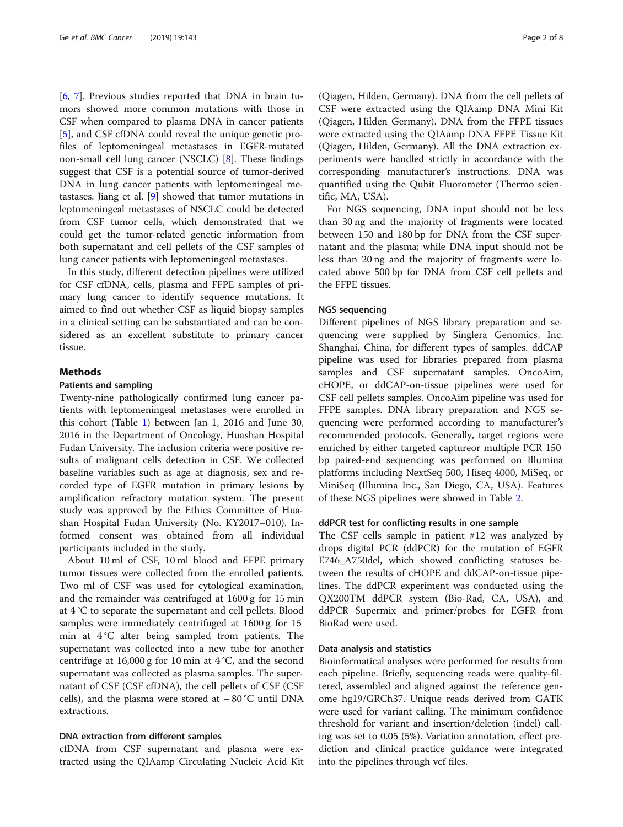[[6,](#page-6-0) [7\]](#page-7-0). Previous studies reported that DNA in brain tumors showed more common mutations with those in CSF when compared to plasma DNA in cancer patients [[5\]](#page-6-0), and CSF cfDNA could reveal the unique genetic profiles of leptomeningeal metastases in EGFR-mutated non-small cell lung cancer (NSCLC) [\[8\]](#page-7-0). These findings suggest that CSF is a potential source of tumor-derived DNA in lung cancer patients with leptomeningeal metastases. Jiang et al. [[9\]](#page-7-0) showed that tumor mutations in leptomeningeal metastases of NSCLC could be detected from CSF tumor cells, which demonstrated that we could get the tumor-related genetic information from both supernatant and cell pellets of the CSF samples of lung cancer patients with leptomeningeal metastases.

In this study, different detection pipelines were utilized for CSF cfDNA, cells, plasma and FFPE samples of primary lung cancer to identify sequence mutations. It aimed to find out whether CSF as liquid biopsy samples in a clinical setting can be substantiated and can be considered as an excellent substitute to primary cancer tissue.

## Methods

## Patients and sampling

Twenty-nine pathologically confirmed lung cancer patients with leptomeningeal metastases were enrolled in this cohort (Table [1\)](#page-2-0) between Jan 1, 2016 and June 30, 2016 in the Department of Oncology, Huashan Hospital Fudan University. The inclusion criteria were positive results of malignant cells detection in CSF. We collected baseline variables such as age at diagnosis, sex and recorded type of EGFR mutation in primary lesions by amplification refractory mutation system. The present study was approved by the Ethics Committee of Huashan Hospital Fudan University (No. KY2017–010). Informed consent was obtained from all individual participants included in the study.

About 10 ml of CSF, 10 ml blood and FFPE primary tumor tissues were collected from the enrolled patients. Two ml of CSF was used for cytological examination, and the remainder was centrifuged at 1600 g for 15 min at 4 °C to separate the supernatant and cell pellets. Blood samples were immediately centrifuged at 1600 g for 15 min at 4 °C after being sampled from patients. The supernatant was collected into a new tube for another centrifuge at 16,000 g for 10 min at  $4^{\circ}$ C, and the second supernatant was collected as plasma samples. The supernatant of CSF (CSF cfDNA), the cell pellets of CSF (CSF cells), and the plasma were stored at − 80 °C until DNA extractions.

## DNA extraction from different samples

cfDNA from CSF supernatant and plasma were extracted using the QIAamp Circulating Nucleic Acid Kit (Qiagen, Hilden, Germany). DNA from the cell pellets of CSF were extracted using the QIAamp DNA Mini Kit (Qiagen, Hilden Germany). DNA from the FFPE tissues were extracted using the QIAamp DNA FFPE Tissue Kit (Qiagen, Hilden, Germany). All the DNA extraction experiments were handled strictly in accordance with the corresponding manufacturer's instructions. DNA was quantified using the Qubit Fluorometer (Thermo scientific, MA, USA).

For NGS sequencing, DNA input should not be less than 30 ng and the majority of fragments were located between 150 and 180 bp for DNA from the CSF supernatant and the plasma; while DNA input should not be less than 20 ng and the majority of fragments were located above 500 bp for DNA from CSF cell pellets and the FFPE tissues.

## NGS sequencing

Different pipelines of NGS library preparation and sequencing were supplied by Singlera Genomics, Inc. Shanghai, China, for different types of samples. ddCAP pipeline was used for libraries prepared from plasma samples and CSF supernatant samples. OncoAim, cHOPE, or ddCAP-on-tissue pipelines were used for CSF cell pellets samples. OncoAim pipeline was used for FFPE samples. DNA library preparation and NGS sequencing were performed according to manufacturer's recommended protocols. Generally, target regions were enriched by either targeted captureor multiple PCR 150 bp paired-end sequencing was performed on Illumina platforms including NextSeq 500, Hiseq 4000, MiSeq, or MiniSeq (Illumina Inc., San Diego, CA, USA). Features of these NGS pipelines were showed in Table [2](#page-3-0).

## ddPCR test for conflicting results in one sample

The CSF cells sample in patient #12 was analyzed by drops digital PCR (ddPCR) for the mutation of EGFR E746\_A750del, which showed conflicting statuses between the results of cHOPE and ddCAP-on-tissue pipelines. The ddPCR experiment was conducted using the QX200TM ddPCR system (Bio-Rad, CA, USA), and ddPCR Supermix and primer/probes for EGFR from BioRad were used.

#### Data analysis and statistics

Bioinformatical analyses were performed for results from each pipeline. Briefly, sequencing reads were quality-filtered, assembled and aligned against the reference genome hg19/GRCh37. Unique reads derived from GATK were used for variant calling. The minimum confidence threshold for variant and insertion/deletion (indel) calling was set to 0.05 (5%). Variation annotation, effect prediction and clinical practice guidance were integrated into the pipelines through vcf files.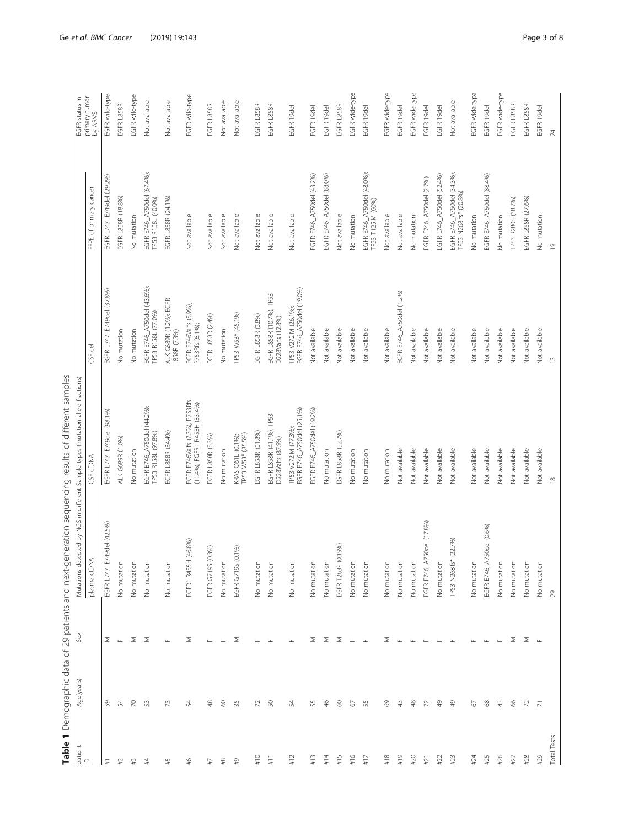<span id="page-2-0"></span>

|                        |                |                    |                               | Table 1 Demographic data of 29 patients and next-generation sequencing results of different samples |                                                   |                                                     |                          |
|------------------------|----------------|--------------------|-------------------------------|-----------------------------------------------------------------------------------------------------|---------------------------------------------------|-----------------------------------------------------|--------------------------|
| patient<br>$\mathbb D$ | Age(years)     | Sex                |                               | Mutations detected by NGS in different Sample types (mutation allele fractions)                     |                                                   |                                                     | EGFR status in           |
|                        |                |                    | plasma ctDNA                  | CSF cfDNA                                                                                           | CSF cell                                          | FFPE of primary cancer                              | primary tumor<br>by ARMS |
| $\ddotplus$            | 59             | Σ                  | EGFR L747_E749del (42.5%)     | EGFR L747_E749del (98.1%)                                                                           | EGFR L747_E749del (37.8%)                         | EGFR L747_E749del (29.2%)                           | EGFR wild-type           |
| $\sharp 2$             | 54             | $\sqcup$           | No mutation                   | ALK G689R (1.0%)                                                                                    | No mutation                                       | EGFR L858R (18.8%)                                  | EGFR L858R               |
| #3                     | $\approx$      | $\geq$             | No mutation                   | No mutation                                                                                         | No mutation                                       | No mutation                                         | EGFR wild-type           |
| #                      | S              | $\geq$             | No mutation                   | EGFR E746_A750del (44.2%);<br>[P53 R158L (97.8%)                                                    | EGFR E746_A750del (43.6%)<br>TP53 R158L (77.0%)   | EGFR E746_A750del (67.4%);<br>TP53 R158L (40.0%)    | Not available            |
| #5                     | 73             | $\sqcup$           | No mutation                   | EGFR L858R (34.4%)                                                                                  | ALK G689R (1.2%); EGFR<br>L858R (7.3%)            | EGFR L858R (24.1%)                                  | Not available            |
| $\frac{46}{5}$         | 54             | Σ                  | (46.8%)<br>FGFR1 R455H        | EGFR E746Valfs (7.3%), P753Rfs<br>(11.4%); FGFR1 R455H (33.4%)                                      | EGFR E746Valfs (5.9%)<br>P753Rfs (6.1%);          | Not available                                       | EGFR wild-type           |
| L#                     | $\frac{8}{4}$  | Щ                  | EGFR G719S (0.3%)             | EGFR L858R (5.3%)                                                                                   | EGFR L858R (2.4%)                                 | Not available                                       | EGFR L858R               |
| $\rm ^{\rm 48}$        | 8              | $\sqcup$           | No mutation                   | No mutation                                                                                         | No mutation                                       | Not available                                       | Not available            |
| $\overline{49}$        | 35             | Σ                  | EGFR G719S (0.1%)             | KRAS Q61L (0.1%);<br>TP53 W53* (85.5%)                                                              | TP53 W53* (45.1%)                                 | Not available                                       | Not available            |
| #10                    | $\mathcal{L}$  | Щ.                 | No mutation                   | EGFR L858R (51.8%)                                                                                  | EGFR L858R (3.8%)                                 | Not available                                       | EGFR L858R               |
| #11                    | SO             | $\sqcup$           | No mutation                   | EGFR L858R (41.1%); TP53<br>D228Valfs (87.9%)                                                       | EGFR L858R (10.7%); TP53<br>D228Valfs (12.8%)     | Not available                                       | EGFR L858R               |
| #12                    | 54             | $\sqcup$           | No mutation                   | EGFR E746_A750del (25.1%)<br>TP53 V272 M (77.3%);                                                   | TP53 V272 M (26.1%);<br>EGFR E746_A750del (19.0%) | Not available                                       | EGFR 19del               |
| #13                    | 55             | Σ                  | No mutation                   | EGFR E746_A750del (19.2%)                                                                           | Not available                                     | EGFR E746_A750del (43.2%)                           | EGFR 19del               |
| #14                    | $\frac{46}{5}$ | Σ                  | No mutation                   | No mutation                                                                                         | Not available                                     | EGFR E746_A750del (88.0%)                           | EGFR 19del               |
| #15                    | 8              | Σ                  | EGFR T263P (0.19%)            | EGFR L858R (52.7%)                                                                                  | Not available                                     | Not available                                       | EGFR L858R               |
| #16                    | 2              | $\sqcup\!\sqcup$   | No mutation                   | No mutation                                                                                         | Not available                                     | No mutation                                         | EGFR wide-type           |
| #17                    | 55             | $\sqcup$           | No mutation                   | No mutation                                                                                         | Not available                                     | EGFR E746_A750del (48.0%);<br>TP53 T125 M (60%)     | EGFR 19del               |
| #18                    | 8              | Σ                  | No mutation                   | No mutation                                                                                         | Not available                                     | Not available                                       | EGFR wide-type           |
| #19                    | $\frac{3}{4}$  | $\sqcup\!\sqcup$   | No mutation                   | Not available                                                                                       | EGFR E746_A750del (1.2%)                          | Not available                                       | EGFR 19del               |
| #20                    | $\frac{8}{3}$  | $\sqcup\!\sqcup$   | No mutation                   | Not available                                                                                       | Not available                                     | No mutation                                         | EGFR wide-type           |
| #21                    | 72             | $\sqcup\!\sqcup$   | 50del (17.8%)<br>EGFR E746_A7 | Not available                                                                                       | Not available                                     | EGFR E746_A750del (2.7%)                            | EGFR 19del               |
| #22                    | $\frac{9}{4}$  | $\sqcup\!\sqcup$   | No mutation                   | Not available                                                                                       | Not available                                     | EGFR E746_A750del (52.4%)                           | EGFR 19del               |
| #23                    | $\frac{9}{4}$  | $\sqcup$           | (22.7%)<br>TP53 N268 fs*      | Not available                                                                                       | Not available                                     | EGFR E746_A750del (34.3%),<br>TP53 N268 fs* (20.8%) | Not available            |
| #24                    | 2              | ட                  | No mutation                   | Not available                                                                                       | Not available                                     | No mutation                                         | EGFR wide-type           |
| #25                    | 89             | $\sqcup\!\sqcup$   | 50del (0.6%)<br>EGFR E746_A7  | Not available                                                                                       | Not available                                     | EGFR E746_A750del (88.4%)                           | EGFR 19del               |
| #26                    | $\frac{1}{4}$  | $\sqcup\!\!\sqcup$ | No mutation                   | Not available                                                                                       | Not available                                     | No mutation                                         | EGFR wide-type           |
| $#27$                  | 8              | Σ                  | No mutation                   | Not available                                                                                       | Not available                                     | TP53 R280S (38.7%)                                  | EGFR L858R               |
| $#28$                  | $\mathcal{V}$  | Σ                  | No mutation                   | Not available                                                                                       | Not available                                     | EGFR L858R (27.6%)                                  | EGFR L858R               |
| #29                    | $\overline{N}$ | $\sqcup$           | No mutation                   | Not available                                                                                       | Not available                                     | No mutation                                         | EGFR 19del               |
| Total Tests            |                |                    | $\mathbb{R}^2$                | $\approx$                                                                                           | $\widetilde{\phantom{m}}$                         | $\supseteq$                                         | $\overline{24}$          |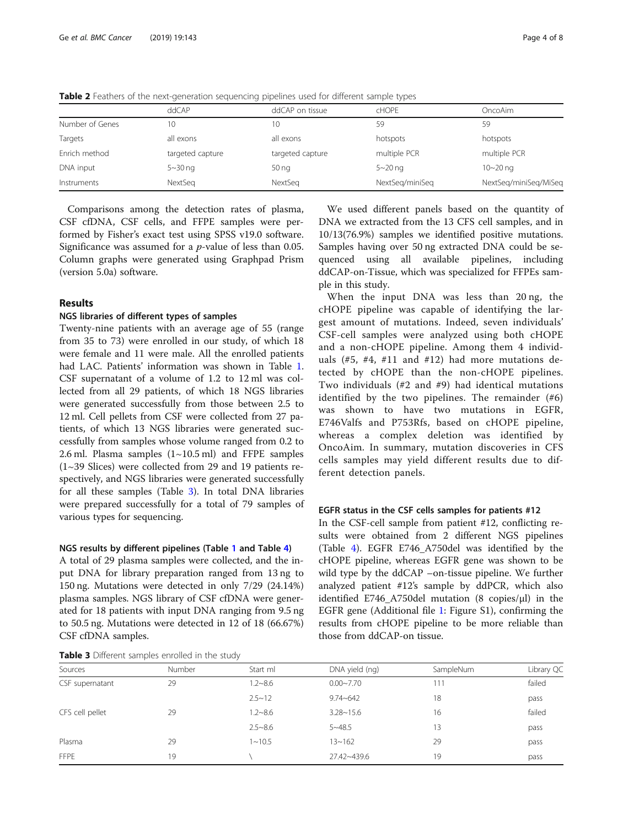|                 | ddCAP            | ddCAP on tissue  | <b>CHOPE</b>    | <b>OncoAim</b>        |
|-----------------|------------------|------------------|-----------------|-----------------------|
| Number of Genes | 10               | 10               | 59              | 59                    |
| Targets         | all exons        | all exons        | hotspots        | hotspots              |
| Enrich method   | targeted capture | targeted capture | multiple PCR    | multiple PCR          |
| DNA input       | $5 - 30$ ng      | 50 <sub>ng</sub> | $5 - 20$ ng     | $10 - 20$ ng          |
| Instruments     | NextSeg          | NextSeg          | NextSeg/miniSeg | NextSeg/miniSeg/MiSeg |

<span id="page-3-0"></span>Table 2 Feathers of the next-generation sequencing pipelines used for different sample types

Comparisons among the detection rates of plasma, CSF cfDNA, CSF cells, and FFPE samples were performed by Fisher's exact test using SPSS v19.0 software. Significance was assumed for a  $p$ -value of less than 0.05. Column graphs were generated using Graphpad Prism (version 5.0a) software.

## Results

## NGS libraries of different types of samples

Twenty-nine patients with an average age of 55 (range from 35 to 73) were enrolled in our study, of which 18 were female and 11 were male. All the enrolled patients had LAC. Patients' information was shown in Table [1](#page-2-0). CSF supernatant of a volume of 1.2 to 12 ml was collected from all 29 patients, of which 18 NGS libraries were generated successfully from those between 2.5 to 12 ml. Cell pellets from CSF were collected from 27 patients, of which 13 NGS libraries were generated successfully from samples whose volume ranged from 0.2 to 2.6 ml. Plasma samples  $(1~10.5~\text{ml})$  and FFPE samples (1~39 Slices) were collected from 29 and 19 patients respectively, and NGS libraries were generated successfully for all these samples (Table 3). In total DNA libraries were prepared successfully for a total of 79 samples of various types for sequencing.

#### NGS results by different pipelines (Table [1](#page-2-0) and Table [4](#page-4-0))

A total of 29 plasma samples were collected, and the input DNA for library preparation ranged from 13 ng to 150 ng. Mutations were detected in only 7/29 (24.14%) plasma samples. NGS library of CSF cfDNA were generated for 18 patients with input DNA ranging from 9.5 ng to 50.5 ng. Mutations were detected in 12 of 18 (66.67%) CSF cfDNA samples.

Table 3 Different samples enrolled in the study

We used different panels based on the quantity of DNA we extracted from the 13 CFS cell samples, and in 10/13(76.9%) samples we identified positive mutations. Samples having over 50 ng extracted DNA could be sequenced using all available pipelines, including ddCAP-on-Tissue, which was specialized for FFPEs sample in this study.

When the input DNA was less than 20 ng, the cHOPE pipeline was capable of identifying the largest amount of mutations. Indeed, seven individuals' CSF-cell samples were analyzed using both cHOPE and a non-cHOPE pipeline. Among them 4 individuals  $(\#5, \#4, \#11 \text{ and } \#12)$  had more mutations detected by cHOPE than the non-cHOPE pipelines. Two individuals (#2 and #9) had identical mutations identified by the two pipelines. The remainder (#6) was shown to have two mutations in EGFR, E746Valfs and P753Rfs, based on cHOPE pipeline, whereas a complex deletion was identified by OncoAim. In summary, mutation discoveries in CFS cells samples may yield different results due to different detection panels.

#### EGFR status in the CSF cells samples for patients #12

In the CSF-cell sample from patient #12, conflicting results were obtained from 2 different NGS pipelines (Table [4\)](#page-4-0). EGFR E746\_A750del was identified by the cHOPE pipeline, whereas EGFR gene was shown to be wild type by the ddCAP –on-tissue pipeline. We further analyzed patient #12's sample by ddPCR, which also identified E746\_A750del mutation (8 copies/μl) in the EGFR gene (Additional file [1](#page-6-0): Figure S1), confirming the results from cHOPE pipeline to be more reliable than those from ddCAP-on tissue.

| Sources         | Number | Start ml    | DNA yield (ng) | SampleNum | Library QC |
|-----------------|--------|-------------|----------------|-----------|------------|
| CSF supernatant | 29     | $1.2 - 8.6$ | $0.00 - 7.70$  | 111       | failed     |
|                 |        | $2.5 - 12$  | $9.74 - 642$   | 18        | pass       |
| CFS cell pellet | 29     | $1.2 - 8.6$ | $3.28 - 15.6$  | 16        | failed     |
|                 |        | $2.5 - 8.6$ | $5 - 48.5$     | 13        | pass       |
| Plasma          | 29     | $1 - 10.5$  | $13 - 162$     | 29        | pass       |
| <b>FFPE</b>     | 19     |             | 27.42~439.6    | 19        | pass       |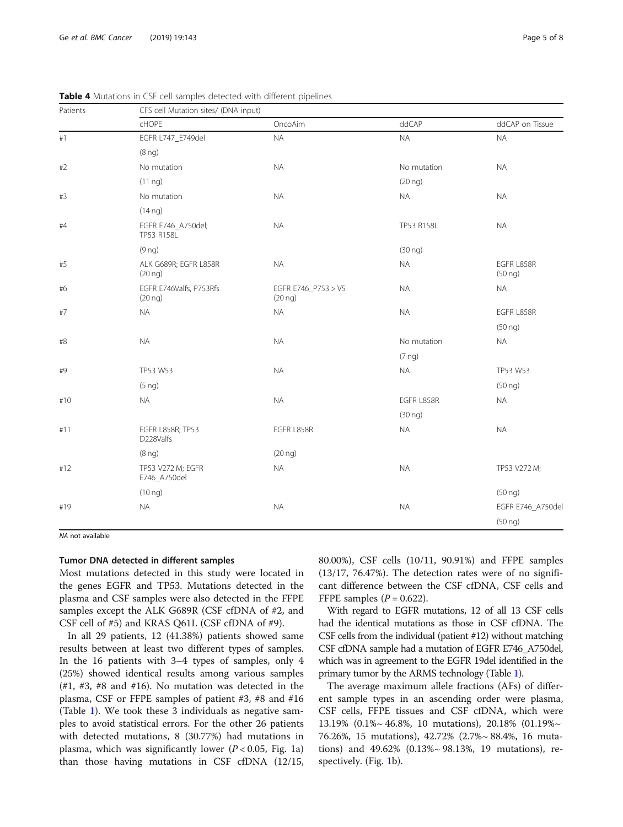| Patients | CFS cell Mutation sites/ (DNA input)    |                                     |                     |                            |  |  |  |
|----------|-----------------------------------------|-------------------------------------|---------------------|----------------------------|--|--|--|
|          | cHOPE                                   | OncoAim                             | ddCAP               | ddCAP on Tissue            |  |  |  |
| $\#$ 1   | EGFR L747_E749del                       | $\sf NA$                            | <b>NA</b>           | $\sf NA$                   |  |  |  |
|          | (8 <sub>ng</sub> )                      |                                     |                     |                            |  |  |  |
| #2       | No mutation                             | $\sf NA$                            | No mutation         | <b>NA</b>                  |  |  |  |
|          | $(11 \nlog)$                            |                                     | $(20 \nlog)$        |                            |  |  |  |
| #3       | No mutation                             | <b>NA</b>                           | <b>NA</b>           | <b>NA</b>                  |  |  |  |
|          | $(14 \text{ ng})$                       |                                     |                     |                            |  |  |  |
| #4       | EGFR E746_A750del;<br>TP53 R158L        | <b>NA</b>                           | TP53 R158L          | <b>NA</b>                  |  |  |  |
|          | (9 <sub>ng</sub> )                      |                                     | (30 nq)             |                            |  |  |  |
| #5       | ALK G689R; EGFR L858R<br>$(20 \nlog)$   | <b>NA</b>                           | <b>NA</b>           | EGFR L858R<br>$(50 \nlog)$ |  |  |  |
| #6       | EGFR E746Valfs, P753Rfs<br>$(20 \n nq)$ | EGFR E746_P753 > VS<br>$(20 \n nq)$ | <b>NA</b>           | <b>NA</b>                  |  |  |  |
| #7       | <b>NA</b>                               | <b>NA</b>                           | <b>NA</b>           | EGFR L858R                 |  |  |  |
|          |                                         |                                     |                     | (50 <sub>ng</sub> )        |  |  |  |
| #8       | <b>NA</b>                               | <b>NA</b>                           | No mutation         | <b>NA</b>                  |  |  |  |
|          |                                         |                                     | $(7 \nlog)$         |                            |  |  |  |
| #9       | TP53 W53                                | <b>NA</b>                           | <b>NA</b>           | TP53 W53                   |  |  |  |
|          | $(5 \nlog)$                             |                                     |                     | (50 <sub>ng</sub> )        |  |  |  |
| #10      | <b>NA</b>                               | <b>NA</b>                           | EGFR L858R          | <b>NA</b>                  |  |  |  |
|          |                                         |                                     | (30 <sub>ng</sub> ) |                            |  |  |  |
| #11      | <b>EGFR L858R; TP53</b><br>D228Valfs    | EGFR L858R                          | <b>NA</b>           | <b>NA</b>                  |  |  |  |
|          | (8 <sub>ng</sub> )                      | $(20 \n ng)$                        |                     |                            |  |  |  |
| #12      | TP53 V272 M; EGFR<br>E746_A750del       | <b>NA</b>                           | <b>NA</b>           | TP53 V272 M;               |  |  |  |
|          | (10 <sub>ng</sub> )                     |                                     |                     | (50 <sub>ng</sub> )        |  |  |  |
| #19      | <b>NA</b>                               | <b>NA</b>                           | <b>NA</b>           | EGFR E746_A750del          |  |  |  |
|          |                                         |                                     |                     | (50 <sub>ng</sub> )        |  |  |  |

<span id="page-4-0"></span>Table 4 Mutations in CSF cell samples detected with different pipelines

NA not available

## Tumor DNA detected in different samples

Most mutations detected in this study were located in the genes EGFR and TP53. Mutations detected in the plasma and CSF samples were also detected in the FFPE samples except the ALK G689R (CSF cfDNA of #2, and CSF cell of #5) and KRAS Q61L (CSF cfDNA of #9).

In all 29 patients, 12 (41.38%) patients showed same results between at least two different types of samples. In the 16 patients with 3–4 types of samples, only 4 (25%) showed identical results among various samples  $(\#1, \#3, \#8$  and  $\#16)$ . No mutation was detected in the plasma, CSF or FFPE samples of patient #3, #8 and #16 (Table [1\)](#page-2-0). We took these 3 individuals as negative samples to avoid statistical errors. For the other 26 patients with detected mutations, 8 (30.77%) had mutations in plasma, which was significantly lower ( $P < 0.05$ , Fig. [1a](#page-5-0)) than those having mutations in CSF cfDNA (12/15, 80.00%), CSF cells (10/11, 90.91%) and FFPE samples  $(13/17, 76.47%)$ . The detection rates were of no significant difference between the CSF cfDNA, CSF cells and FFPE samples  $(P = 0.622)$ .

With regard to EGFR mutations, 12 of all 13 CSF cells had the identical mutations as those in CSF cfDNA. The CSF cells from the individual (patient #12) without matching CSF cfDNA sample had a mutation of EGFR E746\_A750del, which was in agreement to the EGFR 19del identified in the primary tumor by the ARMS technology (Table [1\)](#page-2-0).

The average maximum allele fractions (AFs) of different sample types in an ascending order were plasma, CSF cells, FFPE tissues and CSF cfDNA, which were 13.19% (0.1%~ 46.8%, 10 mutations), 20.18% (01.19%~ 76.26%, 15 mutations), 42.72% (2.7%~ 88.4%, 16 mutations) and 49.62% (0.13%~ 98.13%, 19 mutations), respectively. (Fig. [1b](#page-5-0)).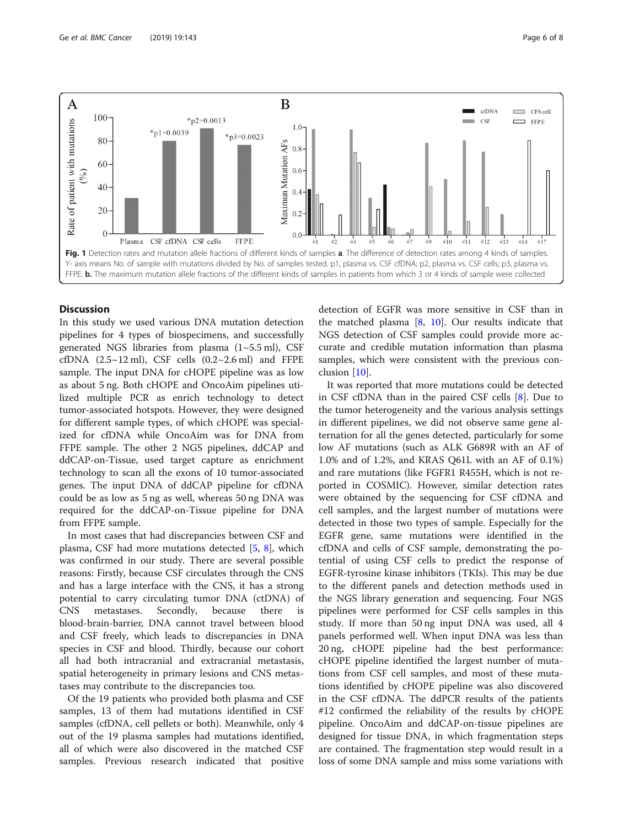<span id="page-5-0"></span>

## **Discussion**

In this study we used various DNA mutation detection pipelines for 4 types of biospecimens, and successfully generated NGS libraries from plasma  $(1~5.5~\text{ml})$ , CSF cfDNA  $(2.5~12~\text{ml})$ , CSF cells  $(0.2~2.6~\text{ml})$  and FFPE sample. The input DNA for cHOPE pipeline was as low as about 5 ng. Both cHOPE and OncoAim pipelines utilized multiple PCR as enrich technology to detect tumor-associated hotspots. However, they were designed for different sample types, of which cHOPE was specialized for cfDNA while OncoAim was for DNA from FFPE sample. The other 2 NGS pipelines, ddCAP and ddCAP-on-Tissue, used target capture as enrichment technology to scan all the exons of 10 tumor-associated genes. The input DNA of ddCAP pipeline for cfDNA could be as low as 5 ng as well, whereas 50 ng DNA was required for the ddCAP-on-Tissue pipeline for DNA from FFPE sample.

In most cases that had discrepancies between CSF and plasma, CSF had more mutations detected [[5](#page-6-0), [8](#page-7-0)], which was confirmed in our study. There are several possible reasons: Firstly, because CSF circulates through the CNS and has a large interface with the CNS, it has a strong potential to carry circulating tumor DNA (ctDNA) of CNS metastases. Secondly, because there is blood-brain-barrier, DNA cannot travel between blood and CSF freely, which leads to discrepancies in DNA species in CSF and blood. Thirdly, because our cohort all had both intracranial and extracranial metastasis, spatial heterogeneity in primary lesions and CNS metastases may contribute to the discrepancies too.

Of the 19 patients who provided both plasma and CSF samples, 13 of them had mutations identified in CSF samples (cfDNA, cell pellets or both). Meanwhile, only 4 out of the 19 plasma samples had mutations identified, all of which were also discovered in the matched CSF samples. Previous research indicated that positive detection of EGFR was more sensitive in CSF than in the matched plasma  $[8, 10]$  $[8, 10]$  $[8, 10]$  $[8, 10]$ . Our results indicate that NGS detection of CSF samples could provide more accurate and credible mutation information than plasma samples, which were consistent with the previous conclusion [[10\]](#page-7-0).

It was reported that more mutations could be detected in CSF cfDNA than in the paired CSF cells [\[8](#page-7-0)]. Due to the tumor heterogeneity and the various analysis settings in different pipelines, we did not observe same gene alternation for all the genes detected, particularly for some low AF mutations (such as ALK G689R with an AF of 1.0% and of 1.2%, and KRAS Q61L with an AF of 0.1%) and rare mutations (like FGFR1 R455H, which is not reported in COSMIC). However, similar detection rates were obtained by the sequencing for CSF cfDNA and cell samples, and the largest number of mutations were detected in those two types of sample. Especially for the EGFR gene, same mutations were identified in the cfDNA and cells of CSF sample, demonstrating the potential of using CSF cells to predict the response of EGFR-tyrosine kinase inhibitors (TKIs). This may be due to the different panels and detection methods used in the NGS library generation and sequencing. Four NGS pipelines were performed for CSF cells samples in this study. If more than 50 ng input DNA was used, all 4 panels performed well. When input DNA was less than 20 ng, cHOPE pipeline had the best performance: cHOPE pipeline identified the largest number of mutations from CSF cell samples, and most of these mutations identified by cHOPE pipeline was also discovered in the CSF cfDNA. The ddPCR results of the patients #12 confirmed the reliability of the results by cHOPE pipeline. OncoAim and ddCAP-on-tissue pipelines are designed for tissue DNA, in which fragmentation steps are contained. The fragmentation step would result in a loss of some DNA sample and miss some variations with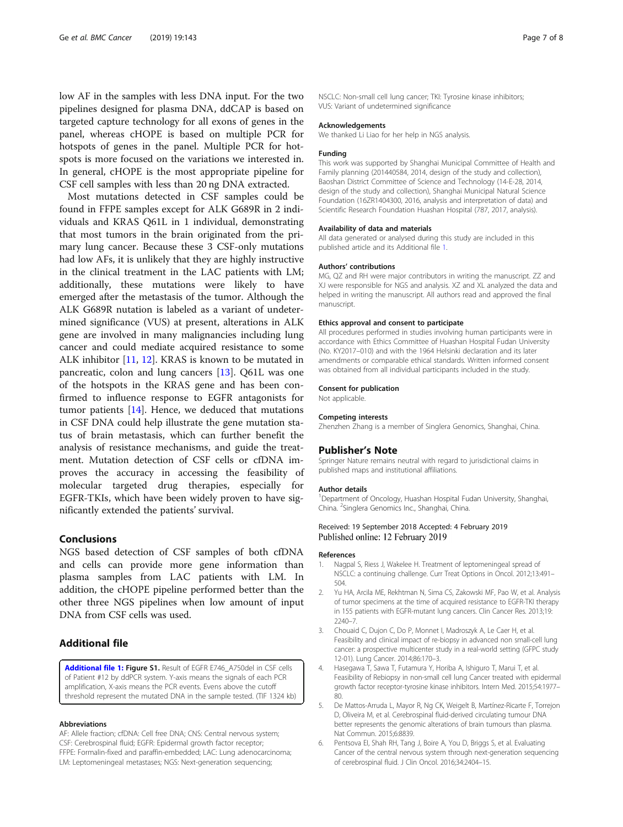<span id="page-6-0"></span>low AF in the samples with less DNA input. For the two pipelines designed for plasma DNA, ddCAP is based on targeted capture technology for all exons of genes in the panel, whereas cHOPE is based on multiple PCR for hotspots of genes in the panel. Multiple PCR for hotspots is more focused on the variations we interested in. In general, cHOPE is the most appropriate pipeline for CSF cell samples with less than 20 ng DNA extracted.

Most mutations detected in CSF samples could be found in FFPE samples except for ALK G689R in 2 individuals and KRAS Q61L in 1 individual, demonstrating that most tumors in the brain originated from the primary lung cancer. Because these 3 CSF-only mutations had low AFs, it is unlikely that they are highly instructive in the clinical treatment in the LAC patients with LM; additionally, these mutations were likely to have emerged after the metastasis of the tumor. Although the ALK G689R nutation is labeled as a variant of undetermined significance (VUS) at present, alterations in ALK gene are involved in many malignancies including lung cancer and could mediate acquired resistance to some ALK inhibitor [\[11](#page-7-0), [12](#page-7-0)]. KRAS is known to be mutated in pancreatic, colon and lung cancers [\[13](#page-7-0)]. Q61L was one of the hotspots in the KRAS gene and has been confirmed to influence response to EGFR antagonists for tumor patients [\[14](#page-7-0)]. Hence, we deduced that mutations in CSF DNA could help illustrate the gene mutation status of brain metastasis, which can further benefit the analysis of resistance mechanisms, and guide the treatment. Mutation detection of CSF cells or cfDNA improves the accuracy in accessing the feasibility of molecular targeted drug therapies, especially for EGFR-TKIs, which have been widely proven to have significantly extended the patients' survival.

## Conclusions

NGS based detection of CSF samples of both cfDNA and cells can provide more gene information than plasma samples from LAC patients with LM. In addition, the cHOPE pipeline performed better than the other three NGS pipelines when low amount of input DNA from CSF cells was used.

## Additional file

[Additional file 1:](https://doi.org/10.1186/s12885-019-5348-3) Figure S1. Result of EGFR E746 A750del in CSF cells of Patient #12 by ddPCR system. Y-axis means the signals of each PCR amplification, X-axis means the PCR events. Evens above the cutoff threshold represent the mutated DNA in the sample tested. (TIF 1324 kb)

#### Abbreviations

AF: Allele fraction; cfDNA: Cell free DNA; CNS: Central nervous system; CSF: Cerebrospinal fluid; EGFR: Epidermal growth factor receptor; FFPE: Formalin-fixed and paraffin-embedded; LAC: Lung adenocarcinoma; LM: Leptomeningeal metastases; NGS: Next-generation sequencing;

NSCLC: Non-small cell lung cancer; TKI: Tyrosine kinase inhibitors; VUS: Variant of undetermined significance

#### Acknowledgements

We thanked Li Liao for her help in NGS analysis.

#### Funding

This work was supported by Shanghai Municipal Committee of Health and Family planning (201440584, 2014, design of the study and collection), Baoshan District Committee of Science and Technology (14-E-28, 2014, design of the study and collection), Shanghai Municipal Natural Science Foundation (16ZR1404300, 2016, analysis and interpretation of data) and Scientific Research Foundation Huashan Hospital (787, 2017, analysis).

#### Availability of data and materials

All data generated or analysed during this study are included in this published article and its Additional file 1.

#### Authors' contributions

MG, QZ and RH were major contributors in writing the manuscript. ZZ and XJ were responsible for NGS and analysis. XZ and XL analyzed the data and helped in writing the manuscript. All authors read and approved the final manuscript.

#### Ethics approval and consent to participate

All procedures performed in studies involving human participants were in accordance with Ethics Committee of Huashan Hospital Fudan University (No. KY2017–010) and with the 1964 Helsinki declaration and its later amendments or comparable ethical standards. Written informed consent was obtained from all individual participants included in the study.

#### Consent for publication

Not applicable.

#### Competing interests

Zhenzhen Zhang is a member of Singlera Genomics, Shanghai, China.

## Publisher's Note

Springer Nature remains neutral with regard to jurisdictional claims in published maps and institutional affiliations.

#### Author details

<sup>1</sup>Department of Oncology, Huashan Hospital Fudan University, Shanghai, China. <sup>2</sup> Singlera Genomics Inc., Shanghai, China.

#### Received: 19 September 2018 Accepted: 4 February 2019 Published online: 12 February 2019

#### References

- 1. Nagpal S, Riess J, Wakelee H. Treatment of leptomeningeal spread of NSCLC: a continuing challenge. Curr Treat Options in Oncol. 2012;13:491– 504.
- 2. Yu HA, Arcila ME, Rekhtman N, Sima CS, Zakowski MF, Pao W, et al. Analysis of tumor specimens at the time of acquired resistance to EGFR-TKI therapy in 155 patients with EGFR-mutant lung cancers. Clin Cancer Res. 2013;19: 2240–7.
- 3. Chouaid C, Dujon C, Do P, Monnet I, Madroszyk A, Le Caer H, et al. Feasibility and clinical impact of re-biopsy in advanced non small-cell lung cancer: a prospective multicenter study in a real-world setting (GFPC study 12-01). Lung Cancer. 2014;86:170–3.
- 4. Hasegawa T, Sawa T, Futamura Y, Horiba A, Ishiguro T, Marui T, et al. Feasibility of Rebiopsy in non-small cell lung Cancer treated with epidermal growth factor receptor-tyrosine kinase inhibitors. Intern Med. 2015;54:1977– 80.
- 5. De Mattos-Arruda L, Mayor R, Ng CK, Weigelt B, Martínez-Ricarte F, Torrejon D, Oliveira M, et al. Cerebrospinal fluid-derived circulating tumour DNA better represents the genomic alterations of brain tumours than plasma. Nat Commun. 2015;6:8839.
- 6. Pentsova EI, Shah RH, Tang J, Boire A, You D, Briggs S, et al. Evaluating Cancer of the central nervous system through next-generation sequencing of cerebrospinal fluid. J Clin Oncol. 2016;34:2404–15.